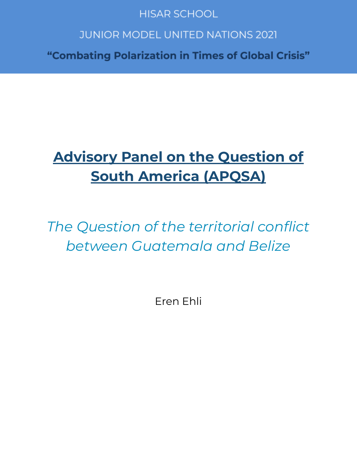# **HISAR SCHOOL**

# **JUNIOR MODEL UNITED NATIONS 2021**

"Combating Polarization in Times of Global Crisis"

# **Advisory Panel on the Question of South America (APQSA)**

*The Question of the territorial conflict between Guatemala and Belize*

Eren Ehli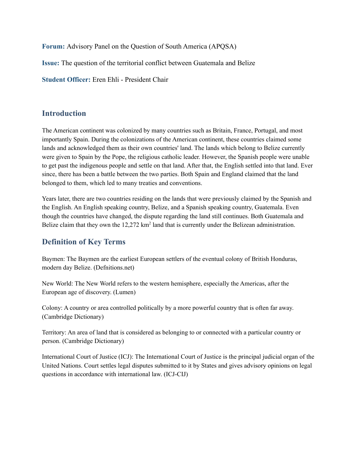**Forum:** Advisory Panel on the Question of South America (APQSA)

**Issue:** The question of the territorial conflict between Guatemala and Belize

**Student Officer:** Eren Ehli - President Chair

### **Introduction**

The American continent was colonized by many countries such as Britain, France, Portugal, and most importantly Spain. During the colonizations of the American continent, these countries claimed some lands and acknowledged them as their own countries' land. The lands which belong to Belize currently were given to Spain by the Pope, the religious catholic leader. However, the Spanish people were unable to get past the indigenous people and settle on that land. After that, the English settled into that land. Ever since, there has been a battle between the two parties. Both Spain and England claimed that the land belonged to them, which led to many treaties and conventions.

Years later, there are two countries residing on the lands that were previously claimed by the Spanish and the English. An English speaking country, Belize, and a Spanish speaking country, Guatemala. Even though the countries have changed, the dispute regarding the land still continues. Both Guatemala and Belize claim that they own the 12,272 km<sup>2</sup> land that is currently under the Belizean administration.

# **Definition of Key Terms**

Baymen: The Baymen are the earliest European settlers of the eventual colony of British Honduras, modern day Belize. (Defnitions.net)

New World: The New World refers to the western hemisphere, especially the Americas, after the European age of discovery. (Lumen)

Colony: A country or area controlled politically by a more powerful country that is often far away. (Cambridge Dictionary)

Territory: An area of land that is considered as belonging to or connected with a particular country or person. (Cambridge Dictionary)

International Court of Justice (ICJ): The International Court of Justice is the principal judicial organ of the United Nations. Court settles legal disputes submitted to it by States and gives advisory opinions on legal questions in accordance with international law. (ICJ-CIJ)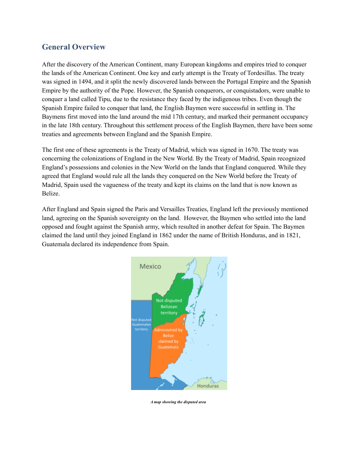# **General Overview**

After the discovery of the American Continent, many European kingdoms and empires tried to conquer the lands of the American Continent. One key and early attempt is the Treaty of Tordesillas. The treaty was signed in 1494, and it split the newly discovered lands between the Portugal Empire and the Spanish Empire by the authority of the Pope. However, the Spanish conquerors, or conquistadors, were unable to conquer a land called Tipu, due to the resistance they faced by the indigenous tribes. Even though the Spanish Empire failed to conquer that land, the English Baymen were successful in settling in. The Baymens first moved into the land around the mid 17th century, and marked their permanent occupancy in the late 18th century. Throughout this settlement process of the English Baymen, there have been some treaties and agreements between England and the Spanish Empire.

The first one of these agreements is the Treaty of Madrid, which was signed in 1670. The treaty was concerning the colonizations of England in the New World. By the Treaty of Madrid, Spain recognized England's possessions and colonies in the New World on the lands that England conquered. While they agreed that England would rule all the lands they conquered on the New World before the Treaty of Madrid, Spain used the vagueness of the treaty and kept its claims on the land that is now known as Belize.

After England and Spain signed the Paris and Versailles Treaties, England left the previously mentioned land, agreeing on the Spanish sovereignty on the land. However, the Baymen who settled into the land opposed and fought against the Spanish army, which resulted in another defeat for Spain. The Baymen claimed the land until they joined England in 1862 under the name of British Honduras, and in 1821, Guatemala declared its independence from Spain.



*A map showing the disputed area*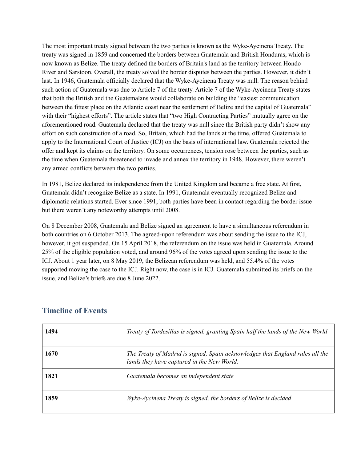The most important treaty signed between the two parties is known as the Wyke-Aycinena Treaty. The treaty was signed in 1859 and concerned the borders between Guatemala and British Honduras, which is now known as Belize. The treaty defined the borders of Britain's land as the territory between Hondo River and Sarstoon. Overall, the treaty solved the border disputes between the parties. However, it didn't last. In 1946, Guatemala officially declared that the Wyke-Aycinena Treaty was null. The reason behind such action of Guatemala was due to Article 7 of the treaty. Article 7 of the Wyke-Aycinena Treaty states that both the British and the Guatemalans would collaborate on building the "easiest communication between the fittest place on the Atlantic coast near the settlement of Belize and the capital of Guatemala" with their "highest efforts". The article states that "two High Contracting Parties" mutually agree on the aforementioned road. Guatemala declared that the treaty was null since the British party didn't show any effort on such construction of a road. So, Britain, which had the lands at the time, offered Guatemala to apply to the International Court of Justice (ICJ) on the basis of international law. Guatemala rejected the offer and kept its claims on the territory. On some occurrences, tension rose between the parties, such as the time when Guatemala threatened to invade and annex the territory in 1948. However, there weren't any armed conflicts between the two parties.

In 1981, Belize declared its independence from the United Kingdom and became a free state. At first, Guatemala didn't recognize Belize as a state. In 1991, Guatemala eventually recognized Belize and diplomatic relations started. Ever since 1991, both parties have been in contact regarding the border issue but there weren't any noteworthy attempts until 2008.

On 8 December 2008, Guatemala and Belize signed an agreement to have a simultaneous referendum in both countries on 6 October 2013. The agreed-upon referendum was about sending the issue to the ICJ, however, it got suspended. On 15 April 2018, the referendum on the issue was held in Guatemala. Around 25% of the eligible population voted, and around 96% of the votes agreed upon sending the issue to the ICJ. About 1 year later, on 8 May 2019, the Belizean referendum was held, and 55.4% of the votes supported moving the case to the ICJ. Right now, the case is in ICJ. Guatemala submitted its briefs on the issue, and Belize's briefs are due 8 June 2022.

| 1494 | Treaty of Tordesillas is signed, granting Spain half the lands of the New World                                             |
|------|-----------------------------------------------------------------------------------------------------------------------------|
| 1670 | The Treaty of Madrid is signed, Spain acknowledges that England rules all the<br>lands they have captured in the New World. |
| 1821 | Guatemala becomes an independent state                                                                                      |
| 1859 | Wyke-Aycinena Treaty is signed, the borders of Belize is decided                                                            |

#### **Timeline of Events**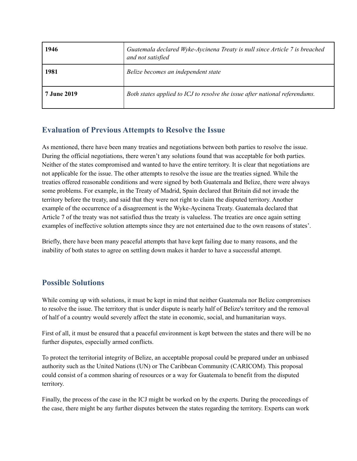| 1946               | Guatemala declared Wyke-Aycinena Treaty is null since Article 7 is breached<br>and not satisfied |
|--------------------|--------------------------------------------------------------------------------------------------|
| 1981               | Belize becomes an independent state                                                              |
| <b>7 June 2019</b> | Both states applied to ICJ to resolve the issue after national referendums.                      |

## **Evaluation of Previous Attempts to Resolve the Issue**

As mentioned, there have been many treaties and negotiations between both parties to resolve the issue. During the official negotiations, there weren't any solutions found that was acceptable for both parties. Neither of the states compromised and wanted to have the entire territory. It is clear that negotiations are not applicable for the issue. The other attempts to resolve the issue are the treaties signed. While the treaties offered reasonable conditions and were signed by both Guatemala and Belize, there were always some problems. For example, in the Treaty of Madrid, Spain declared that Britain did not invade the territory before the treaty, and said that they were not right to claim the disputed territory. Another example of the occurrence of a disagreement is the Wyke-Aycinena Treaty. Guatemala declared that Article 7 of the treaty was not satisfied thus the treaty is valueless. The treaties are once again setting examples of ineffective solution attempts since they are not entertained due to the own reasons of states'.

Briefly, there have been many peaceful attempts that have kept failing due to many reasons, and the inability of both states to agree on settling down makes it harder to have a successful attempt.

## **Possible Solutions**

While coming up with solutions, it must be kept in mind that neither Guatemala nor Belize compromises to resolve the issue. The territory that is under dispute is nearly half of Belize's territory and the removal of half of a country would severely affect the state in economic, social, and humanitarian ways.

First of all, it must be ensured that a peaceful environment is kept between the states and there will be no further disputes, especially armed conflicts.

To protect the territorial integrity of Belize, an acceptable proposal could be prepared under an unbiased authority such as the United Nations (UN) or The Caribbean Community (CARICOM). This proposal could consist of a common sharing of resources or a way for Guatemala to benefit from the disputed territory.

Finally, the process of the case in the ICJ might be worked on by the experts. During the proceedings of the case, there might be any further disputes between the states regarding the territory. Experts can work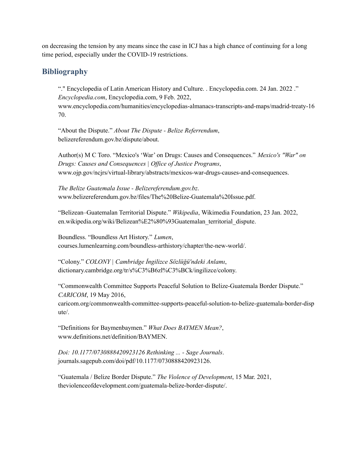on decreasing the tension by any means since the case in ICJ has a high chance of continuing for a long time period, especially under the COVID-19 restrictions.

### **Bibliography**

"." Encyclopedia of Latin American History and Culture. . Encyclopedia.com. 24 Jan. 2022 ." *Encyclopedia.com*, Encyclopedia.com, 9 Feb. 2022, www.encyclopedia.com/humanities/encyclopedias-almanacs-transcripts-and-maps/madrid-treaty-16 70.

"About the Dispute." *About The Dispute - Belize Referrendum*, belizereferendum.gov.bz/dispute/about.

Author(s) M C Toro. "Mexico's 'War' on Drugs: Causes and Consequences." *Mexico's "War" on Drugs: Causes and Consequences | Of ice of Justice Programs*, www.ojp.gov/ncjrs/virtual-library/abstracts/mexicos-war-drugs-causes-and-consequences.

*The Belize Guatemala Issue - Belizereferendum.gov.bz*. www.belizereferendum.gov.bz/files/The%20Belize-Guatemala%20Issue.pdf.

"Belizean–Guatemalan Territorial Dispute." *Wikipedia*, Wikimedia Foundation, 23 Jan. 2022, en.wikipedia.org/wiki/Belizean%E2%80%93Guatemalan\_territorial\_dispute.

Boundless. "Boundless Art History." *Lumen*, courses.lumenlearning.com/boundless-arthistory/chapter/the-new-world/.

"Colony." *COLONY | Cambridge İngilizce Sözlüğü'ndeki Anlamı*, dictionary.cambridge.org/tr/s%C3%B6zl%C3%BCk/ingilizce/colony.

"Commonwealth Committee Supports Peaceful Solution to Belize-Guatemala Border Dispute." *CARICOM*, 19 May 2016,

caricom.org/commonwealth-committee-supports-peaceful-solution-to-belize-guatemala-border-disp ute/.

"Definitions for Baymenbaymen." *What Does BAYMEN Mean?*, www.definitions.net/definition/BAYMEN.

*Doi: 10.1177/0730888420923126 Rethinking ... - Sage Journals*. journals.sagepub.com/doi/pdf/10.1177/0730888420923126.

"Guatemala / Belize Border Dispute." *The Violence of Development*, 15 Mar. 2021, theviolenceofdevelopment.com/guatemala-belize-border-dispute/.